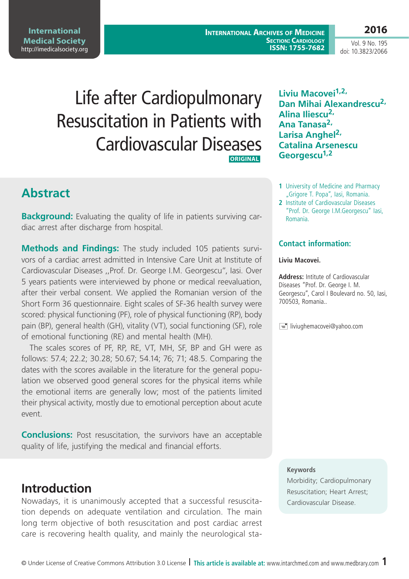**International Medical Society**  <http://imedicalsociety.org>

**International Archives of Medicine SECTION: CARDIOLOGY ISSN: 1755-7682**

Vol. 9 No. 195 doi: 10.3823/2066

**2016**

# Life after Cardiopulmonary Resuscitation in Patients with Cardiovascular Diseases **ORIGINAL**

# **Abstract**

**Background:** Evaluating the quality of life in patients surviving cardiac arrest after discharge from hospital.

**Methods and Findings:** The study included 105 patients survivors of a cardiac arrest admitted in Intensive Care Unit at Institute of Cardiovascular Diseases ,,Prof. Dr. George I.M. Georgescu", Iasi. Over 5 years patients were interviewed by phone or medical reevaluation, after their verbal consent. We applied the Romanian version of the Short Form 36 questionnaire. Eight scales of SF-36 health survey were scored: physical functioning (PF), role of physical functioning (RP), body pain (BP), general health (GH), vitality (VT), social functioning (SF), role of emotional functioning (RE) and mental health (MH).

The scales scores of PF, RP, RE, VT, MH, SF, BP and GH were as follows: 57.4; 22.2; 30.28; 50.67; 54.14; 76; 71; 48.5. Comparing the dates with the scores available in the literature for the general population we observed good general scores for the physical items while the emotional items are generally low; most of the patients limited their physical activity, mostly due to emotional perception about acute event.

**Conclusions:** Post resuscitation, the survivors have an acceptable quality of life, justifying the medical and financial efforts.

### **Introduction**

Nowadays, it is unanimously accepted that a successful resuscitation depends on adequate ventilation and circulation. The main long term objective of both resuscitation and post cardiac arrest care is recovering health quality, and mainly the neurological sta**Liviu Macovei1,2, Dan Mihai Alexandrescu2, Alina Iliescu2, Ana Tanasa2, Larisa Anghel2, Catalina Arsenescu Georgescu1,2**

- **1** University of Medicine and Pharmacy "Grigore T. Popa", lasi, Romania.
- **2** Institute of Cardiovascular Diseases "Prof. Dr. George I.M.Georgescu" Iasi, Romania.

### **Contact information:**

#### **Liviu Macovei.**

**Address:** Intitute of Cardiovascular Diseases "Prof. Dr. George I. M. Georgescu", Carol I Boulevard no. 50, Iasi, 700503, Romania..

 $\equiv$  liviughemacovei@yahoo.com

### **Keywords**

Morbidity; Cardiopulmonary Resuscitation; Heart Arrest; Cardiovascular Disease.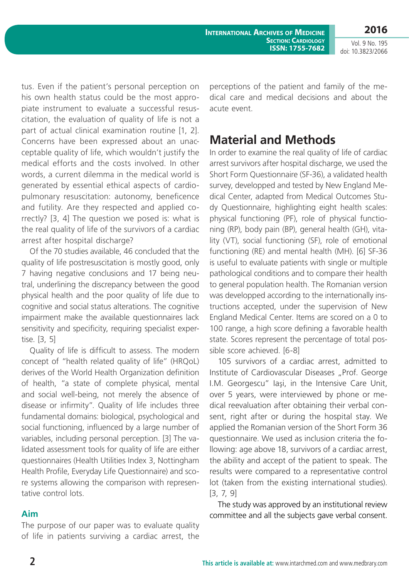**International Archives of Medicine SECTION: CARDIOLOGY ISSN: 1755-7682**

Vol. 9 No. 195 doi: 10.3823/2066

tus. Even if the patient's personal perception on his own health status could be the most appropiate instrument to evaluate a successful resuscitation, the evaluation of quality of life is not a part of actual clinical examination routine [1, 2]. Concerns have been expressed about an unacceptable quality of life, which wouldn't justify the medical efforts and the costs involved. In other words, a current dilemma in the medical world is generated by essential ethical aspects of cardiopulmonary resuscitation: autonomy, beneficence and futility. Are they respected and applied correctly? [3, 4] The question we posed is: what is the real quality of life of the survivors of a cardiac arrest after hospital discharge?

Of the 70 studies available, 46 concluded that the quality of life postresuscitation is mostly good, only 7 having negative conclusions and 17 being neutral, underlining the discrepancy between the good physical health and the poor quality of life due to cognitive and social status alterations. The cognitive impairment make the available questionnaires lack sensitivity and specificity, requiring specialist expertise. [3, 5]

Quality of life is difficult to assess. The modern concept of "health related quality of life" (HRQoL) derives of the World Health Organization definition of health, "a state of complete physical, mental and social well-being, not merely the absence of disease or infirmity". Quality of life includes three fundamental domains: biological, psychological and social functioning, influenced by a large number of variables, including personal perception. [3] The validated assessment tools for quality of life are either questionnaires (Health Utilities Index 3, Nottingham Health Profile, Everyday Life Questionnaire) and score systems allowing the comparison with representative control lots.

### **Aim**

The purpose of our paper was to evaluate quality of life in patients surviving a cardiac arrest, the

perceptions of the patient and family of the medical care and medical decisions and about the acute event.

# **Material and Methods**

In order to examine the real quality of life of cardiac arrest survivors after hospital discharge, we used the Short Form Questionnaire (SF-36), a validated health survey, developped and tested by New England Medical Center, adapted from Medical Outcomes Study Questionnaire, highlighting eight health scales: physical functioning (PF), role of physical functioning (RP), body pain (BP), general health (GH), vitality (VT), social functioning (SF), role of emotional functioning (RE) and mental health (MH). [6] SF-36 is useful to evaluate patients with single or multiple pathological conditions and to compare their health to general population health. The Romanian version was developped according to the internationally instructions accepted, under the supervision of New England Medical Center. Items are scored on a 0 to 100 range, a high score defining a favorable health state. Scores represent the percentage of total possible score achieved. [6-8]

105 survivors of a cardiac arrest, admitted to Institute of Cardiovascular Diseases "Prof. George I.M. Georgescu" Iaşi, in the Intensive Care Unit, over 5 years, were interviewed by phone or medical reevaluation after obtaining their verbal consent, right after or during the hospital stay. We applied the Romanian version of the Short Form 36 questionnaire. We used as inclusion criteria the following: age above 18, survivors of a cardiac arrest, the ability and accept of the patient to speak. The results were compared to a representative control lot (taken from the existing international studies). [3, 7, 9]

The study was approved by an institutional review committee and all the subjects gave verbal consent.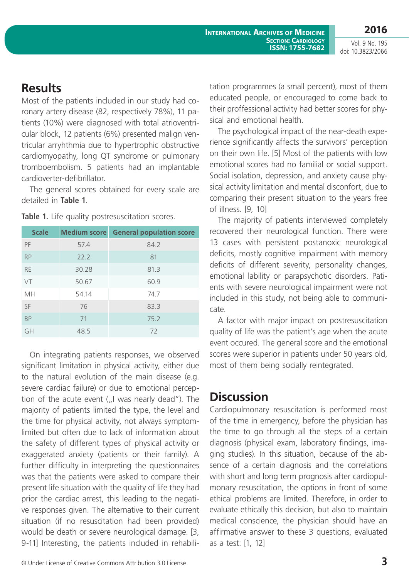Vol. 9 No. 195 doi: 10.3823/2066

# **Results**

Most of the patients included in our study had coronary artery disease (82, respectively 78%), 11 patients (10%) were diagnosed with total atrioventricular block, 12 patients (6%) presented malign ventricular arryhthmia due to hypertrophic obstructive cardiomyopathy, long QT syndrome or pulmonary tromboembolism. 5 patients had an implantable cardioverter-defibrillator.

The general scores obtained for every scale are detailed in **Table 1**.

| <b>Scale</b> | <b>Medium score</b> | <b>General population score</b> |
|--------------|---------------------|---------------------------------|
| PF           | 57.4                | 84.2                            |
| <b>RP</b>    | 22.2                | 81                              |
| <b>RE</b>    | 30.28               | 81.3                            |
| VT           | 50.67               | 60.9                            |
| <b>MH</b>    | 54.14               | 74.7                            |
| SF           | 76                  | 83.3                            |
| <b>BP</b>    | 71                  | 75.2                            |
| GH           | 48.5                | 72                              |

Table 1. Life quality postresuscitation scores.

On integrating patients responses, we observed significant limitation in physical activity, either due to the natural evolution of the main disease (e.g. severe cardiac failure) or due to emotional perception of the acute event  $($ "I was nearly dead"). The majority of patients limited the type, the level and the time for physical activity, not always symptomlimited but often due to lack of information about the safety of different types of physical activity or exaggerated anxiety (patients or their family). A further difficulty in interpreting the questionnaires was that the patients were asked to compare their present life situation with the quality of life they had prior the cardiac arrest, this leading to the negative responses given. The alternative to their current situation (if no resuscitation had been provided) would be death or severe neurological damage. [3, 9-11] Interesting, the patients included in rehabilitation programmes (a small percent), most of them educated people, or encouraged to come back to their proffessional activity had better scores for physical and emotional health.

The psychological impact of the near-death experience significantly affects the survivors' perception on their own life. [5] Most of the patients with low emotional scores had no familial or social support. Social isolation, depression, and anxiety cause physical activity limitation and mental disconfort, due to comparing their present situation to the years free of illness. [9, 10]

The majority of patients interviewed completely recovered their neurological function. There were 13 cases with persistent postanoxic neurological deficits, mostly cognitive impairment with memory deficits of different severity, personality changes, emotional lability or parapsychotic disorders. Patients with severe neurological impairment were not included in this study, not being able to communicate.

A factor with major impact on postresuscitation quality of life was the patient's age when the acute event occured. The general score and the emotional scores were superior in patients under 50 years old, most of them being socially reintegrated.

# **Discussion**

Cardiopulmonary resuscitation is performed most of the time in emergency, before the physician has the time to go through all the steps of a certain diagnosis (physical exam, laboratory findings, imaging studies). In this situation, because of the absence of a certain diagnosis and the correlations with short and long term prognosis after cardiopulmonary resuscitation, the options in front of some ethical problems are limited. Therefore, in order to evaluate ethically this decision, but also to maintain medical conscience, the physician should have an affirmative answer to these 3 questions, evaluated as a test: [1, 12]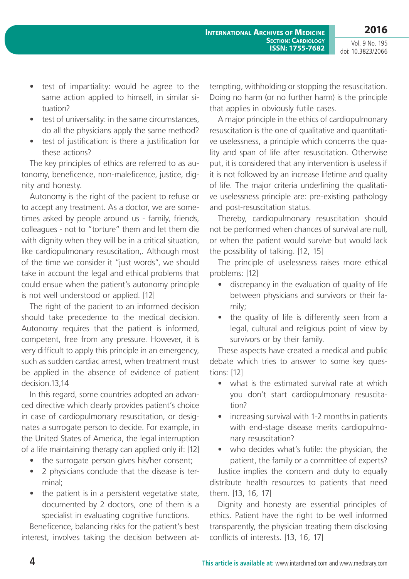Vol. 9 No. 195 doi: 10.3823/2066

- test of impartiality: would he agree to the same action applied to himself, in similar situation?
- test of universality: in the same circumstances, do all the physicians apply the same method?
- test of justification: is there a justification for these actions?

The key principles of ethics are referred to as autonomy, beneficence, non-maleficence, justice, dignity and honesty.

Autonomy is the right of the pacient to refuse or to accept any treatment. As a doctor, we are sometimes asked by people around us - family, friends, colleagues - not to "torture" them and let them die with dignity when they will be in a critical situation, like cardiopulmonary resuscitation,. Although most of the time we consider it "just words", we should take in account the legal and ethical problems that could ensue when the patient's autonomy principle is not well understood or applied. [12]

The right of the pacient to an informed decision should take precedence to the medical decision. Autonomy requires that the patient is informed, competent, free from any pressure. However, it is very difficult to apply this principle in an emergency, such as sudden cardiac arrest, when treatment must be applied in the absence of evidence of patient decision.13,14

In this regard, some countries adopted an advanced directive which clearly provides patient's choice in case of cardiopulmonary resuscitation, or designates a surrogate person to decide. For example, in the United States of America, the legal interruption of a life maintaining therapy can applied only if: [12]

- the surrogate person gives his/her consent;
- 2 physicians conclude that the disease is terminal;
- the patient is in a persistent vegetative state, documented by 2 doctors, one of them is a specialist in evaluating cognitive functions.

Beneficence, balancing risks for the patient's best interest, involves taking the decision between attempting, withholding or stopping the resuscitation. Doing no harm (or no further harm) is the principle that applies in obviously futile cases.

A major principle in the ethics of cardiopulmonary resuscitation is the one of qualitative and quantitative uselessness, a principle which concerns the quality and span of life after resuscitation. Otherwise put, it is considered that any intervention is useless if it is not followed by an increase lifetime and quality of life. The major criteria underlining the qualitative uselessness principle are: pre-existing pathology and post-resuscitation status.

Thereby, cardiopulmonary resuscitation should not be performed when chances of survival are null, or when the patient would survive but would lack the possibility of talking. [12, 15]

The principle of uselessness raises more ethical problems: [12]

- discrepancy in the evaluation of quality of life between physicians and survivors or their family;
- the quality of life is differently seen from a legal, cultural and religious point of view by survivors or by their family.

These aspects have created a medical and public debate which tries to answer to some key questions: [12]

- what is the estimated survival rate at which you don't start cardiopulmonary resuscitation?
- increasing survival with 1-2 months in patients with end-stage disease merits cardiopulmonary resuscitation?
- who decides what's futile: the physician, the patient, the family or a committee of experts?

Justice implies the concern and duty to equally distribute health resources to patients that need them. [13, 16, 17]

Dignity and honesty are essential principles of ethics. Patient have the right to be well informed transparently, the physician treating them disclosing conflicts of interests. [13, 16, 17]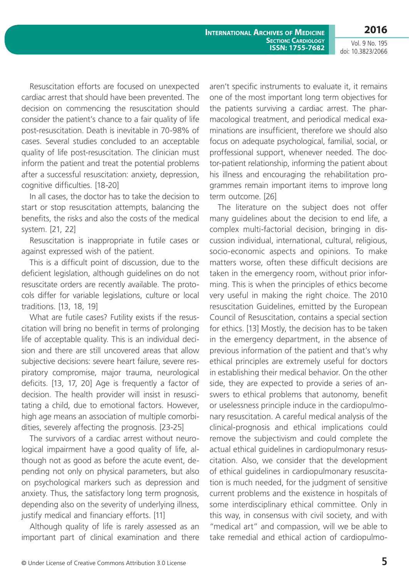**International Archives of Medicine SECTION: CARDIOLOGY ISSN: 1755-7682** **2016**

Vol. 9 No. 195 doi: 10.3823/2066

Resuscitation efforts are focused on unexpected cardiac arrest that should have been prevented. The decision on commencing the resuscitation should consider the patient's chance to a fair quality of life post-resuscitation. Death is inevitable in 70-98% of cases. Several studies concluded to an acceptable quality of life post-resuscitation. The clinician must inform the patient and treat the potential problems after a successful resuscitation: anxiety, depression, cognitive difficulties. [18-20]

In all cases, the doctor has to take the decision to start or stop resuscitation attempts, balancing the benefits, the risks and also the costs of the medical system. [21, 22]

Resuscitation is inappropriate in futile cases or against expressed wish of the patient.

This is a difficult point of discussion, due to the deficient legislation, although guidelines on do not resuscitate orders are recently available. The protocols differ for variable legislations, culture or local traditions. [13, 18, 19]

What are futile cases? Futility exists if the resuscitation will bring no benefit in terms of prolonging life of acceptable quality. This is an individual decision and there are still uncovered areas that allow subjective decisions: severe heart failure, severe respiratory compromise, major trauma, neurological deficits. [13, 17, 20] Age is frequently a factor of decision. The health provider will insist in resuscitating a child, due to emotional factors. However, high age means an association of multiple comorbidities, severely affecting the prognosis. [23-25]

The survivors of a cardiac arrest without neurological impairment have a good quality of life, although not as good as before the acute event, depending not only on physical parameters, but also on psychological markers such as depression and anxiety. Thus, the satisfactory long term prognosis, depending also on the severity of underlying illness, justify medical and financiary efforts. [11]

Although quality of life is rarely assessed as an important part of clinical examination and there aren't specific instruments to evaluate it, it remains one of the most important long term objectives for the patients surviving a cardiac arrest. The pharmacological treatment, and periodical medical examinations are insufficient, therefore we should also focus on adequate psychological, familial, social, or proffessional support, whenever needed. The doctor-patient relationship, informing the patient about his illness and encouraging the rehabilitation programmes remain important items to improve long term outcome. [26]

The literature on the subject does not offer many guidelines about the decision to end life, a complex multi-factorial decision, bringing in discussion individual, international, cultural, religious, socio-economic aspects and opinions. To make matters worse, often these difficult decisions are taken in the emergency room, without prior informing. This is when the principles of ethics become very useful in making the right choice. The 2010 resuscitation Guidelines, emitted by the European Council of Resuscitation, contains a special section for ethics. [13] Mostly, the decision has to be taken in the emergency department, in the absence of previous information of the patient and that's why ethical principles are extremely useful for doctors in establishing their medical behavior. On the other side, they are expected to provide a series of answers to ethical problems that autonomy, benefit or uselessness principle induce in the cardiopulmonary resuscitation. A careful medical analysis of the clinical-prognosis and ethical implications could remove the subjectivism and could complete the actual ethical guidelines in cardiopulmonary resuscitation. Also, we consider that the development of ethical guidelines in cardiopulmonary resuscitation is much needed, for the judgment of sensitive current problems and the existence in hospitals of some interdisciplinary ethical committee. Only in this way, in consensus with civil society, and with "medical art" and compassion, will we be able to take remedial and ethical action of cardiopulmo-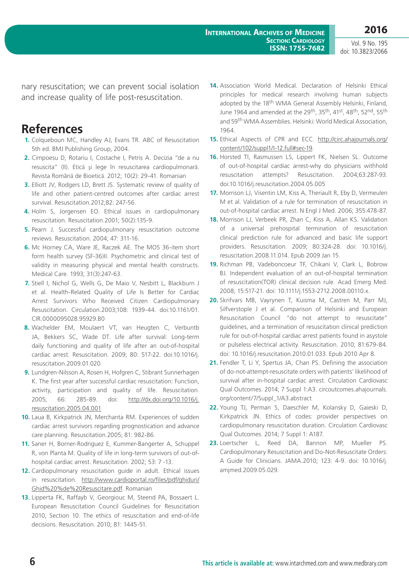Vol. 9 No. 195 doi: 10.3823/2066

nary resuscitation; we can prevent social isolation and increase quality of life post-resuscitation.

### **References**

- **1.** Colqueboun MC, Handley AJ, Evans TR. ABC of Resuscitation 5th ed. BMJ Publishing Group, 2004.
- **2.** Cimpoesu D, Rotariu I, Costache I, Petris A. Decizia "de a nu resuscita" (II). Etică şi lege în resuscitarea cardiopulmonară. Revista Română de Bioetică. 2012; 10(2): 29-41. Romanian
- **3.** Elliott JV, Rodgers LD, Brett JS. Systematic review of quality of life and other patient-centred outcomes after cardiac arrest survival. Resuscitation.2012;82: 247-56.
- **4.** Holm S, Jorgensen EO. Ethical issues in cardiopulmonary resuscitation. Resuscitation.2001; 50(2):135-9.
- **5.** Pearn J. Successful cardiopulmonary resuscitation outcome reviews. Resuscitation. 2004; 47: 311-16.
- **6.** Mc Horney CA, Ware JE, Raczek AE. The MOS 36-item short form health survey (SF-36)II. Psychometric and clinical test of validity in measuring physical and mental health constructs. Medical Care. 1993; 31(3):247-63.
- **7.** Stiell I, Nichol G, Wells G, De Maio V, Nesbitt L, Blackburn J et al. Health-Related Quality of Life Is Better for Cardiac Arrest Survivors Who Received Citizen Cardiopulmonary Resuscitation. Circulation.2003;108: 1939-44. doi:10.1161/01. CIR.0000095028.95929.B0
- **8.** Wachelder EM, Moulaert VT, van Heugten C, Verbuntb JA, Bekkers SC, Wade DT. Life after survival: Long-term daily functioning and quality of life after an out-of-hospital cardiac arrest. Resuscitation. 2009; 80: 517-22. doi:10.1016/j. resuscitation.2009.01.020
- **9.** Lundgren-Nilsson A, Rosen H, Hofgren C, Stibrant Sunnerhagen K. The first year after successful cardiac resuscitation: Function, activity, participation and quality of life. Resuscitation. 2005; 66: 285-89. doi: [http://dx.doi.org/10.1016/j.](http://dx.doi.org/10.1016/j.resuscitation.2005.04.001) [resuscitation.2005.04.001](http://dx.doi.org/10.1016/j.resuscitation.2005.04.001)
- **10.** Laua B, Kirkpatrick JN, Merchanta RM. Experiences of sudden cardiac arrest survivors regarding prognostication and advance care planning. Resuscitation.2005; 81: 982-86.
- **11.** Saner H, Borner-Rodriguez E, Kummer-Bangerter A, Schuppel R, von Planta M. Quality of life in long-term survivors of out-ofhospital cardiac arrest. Resuscitation. 2002; 53: 7 -13.
- **12.** Cardiopulmonary resuscitation guide in adult. Ethical issues in resuscitation. [http://www.cardioportal.ro/files/pdf/ghiduri/](http://www.cardioportal.ro/files/pdf/ghiduri/Ghid%20%de%20Resuscitare.pdf) [Ghid%20%de%20Resuscitare.pdf.](http://www.cardioportal.ro/files/pdf/ghiduri/Ghid%20%de%20Resuscitare.pdf) Romanian
- **13.** Lipperta FK, Raffayb V, Georgiouc M, Steend PA, Bossaert L. European Resuscitation Council Guidelines for Resuscitation 2010, Section 10. The ethics of resuscitation and end-of-life decisions. Resuscitation. 2010; 81: 1445-51.
- **14.** Association World Medical. Declaration of Helsinki Ethical principles for medical research involving human subjects adopted by the 18<sup>th</sup> WMA General Assembly Helsinki, Finland, June 1964 and amended at the 29th, 35th, 41st, 48th, 52nd, 55th and 59<sup>th</sup> WMA Assemblies. Helsinki: World Medical Association, 1964.
- **15.** Ethical Aspects of CPR and ECC. [http://circ.ahajournals.org/](http://circ.ahajournals.org/content/102/suppl1/I-12.full#sec-19) [content/102/suppl1/I-12.full#sec-19.](http://circ.ahajournals.org/content/102/suppl1/I-12.full#sec-19)
- **16.** Horsted TI, Rasmussen LS, Lippert FK, Nielsen SL. Outcome of out-of-hospital cardiac arrest-why do physicians withhold resuscitation attempts? Resuscitation. 2004;63:287-93. doi:10.1016/j.resuscitation.2004.05.005
- **17.** Morrison LJ, Visentin LM, Kiss A, Theriault R, Eby D, Vermeulen M et al. Validation of a rule for termination of resuscitation in out-of-hospital cardiac arrest. N Engl J Med. 2006; 355:478-87.
- **18.** Morrison LJ, Verbeek PR, Zhan C, Kiss A, Allan KS. Validation of a universal prehospital termination of resuscitation clinical prediction rule for advanced and basic life support providers. Resuscitation. 2009; 80:324-28. doi: 10.1016/j. resuscitation.2008.11.014. Epub 2009 Jan 15.
- **19.** Richman PB, Vadeboncoeur TF, Chikani V, Clark L, Bobrow BJ. Independent evaluation of an out-of-hospital termination of resuscitation(TOR) clinical decision rule. Acad Emerg Med. 2008; 15:517-21. doi: 10.1111/j.1553-2712.2008.00110.x.
- **20.** Skrifvars MB, Vayrynen T, Kuisma M, Castren M, Parr MJ, Silfverstople J et al. Comparison of Helsinki and European Resuscitation Council "do not attempt to resuscitate" guidelines, and a termination of resuscitation clinical prediction rule for out-of-hospital cardiac arrest patients found in asystole or pulseless electrical activity. Resuscitation. 2010; 81:679-84. doi: 10.1016/j.resuscitation.2010.01.033. Epub 2010 Apr 8.
- **21.** Fendler T, Li Y, Spertus JA, Chan PS. Defining the association of do-not-attempt-resuscitate orders with patients' likelihood of survival after in-hospital cardiac arrest. Circulation Cardiovasc Qual Outcomes. 2014; 7 Suppl 1:A3. circoutcomes.ahajournals. org/content/7/Suppl\_1/A3.abstract
- **22.** Young TJ, Perman S, Daeschler M, Kolansky D, Gaieski D, Kirkpatrick JN. Ethics of codes: provider perspectives on cardiopulmonary resuscitation duration. Circulation Cardiovasc Qual Outcomes. 2014; 7 Suppl 1: A187.
- **23.** Loertscher L, Reed DA, Bannon MP, Mueller PS. Cardiopulmonary Resuscitation and Do-Not-Resuscitate Orders: A Guide for Clinicians. JAMA.2010; 123: 4-9. doi: 10.1016/j. amjmed.2009.05.029.